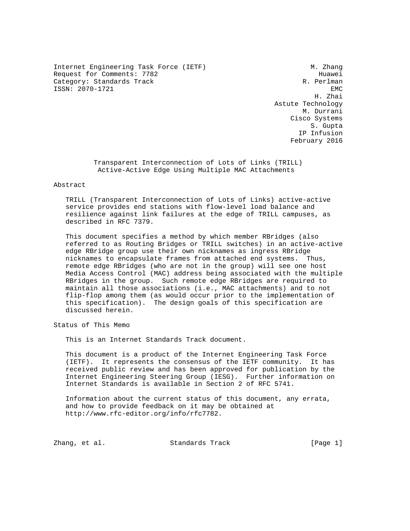Internet Engineering Task Force (IETF) M. Zhang Request for Comments: 7782 Huawei Category: Standards Track R. Perlman ISSN: 2070-1721 EMC

 H. Zhai Astute Technology M. Durrani Cisco Systems S. Gupta IP Infusion February 2016

> Transparent Interconnection of Lots of Links (TRILL) Active-Active Edge Using Multiple MAC Attachments

#### Abstract

 TRILL (Transparent Interconnection of Lots of Links) active-active service provides end stations with flow-level load balance and resilience against link failures at the edge of TRILL campuses, as described in RFC 7379.

 This document specifies a method by which member RBridges (also referred to as Routing Bridges or TRILL switches) in an active-active edge RBridge group use their own nicknames as ingress RBridge nicknames to encapsulate frames from attached end systems. Thus, remote edge RBridges (who are not in the group) will see one host Media Access Control (MAC) address being associated with the multiple RBridges in the group. Such remote edge RBridges are required to maintain all those associations (i.e., MAC attachments) and to not flip-flop among them (as would occur prior to the implementation of this specification). The design goals of this specification are discussed herein.

Status of This Memo

This is an Internet Standards Track document.

 This document is a product of the Internet Engineering Task Force (IETF). It represents the consensus of the IETF community. It has received public review and has been approved for publication by the Internet Engineering Steering Group (IESG). Further information on Internet Standards is available in Section 2 of RFC 5741.

 Information about the current status of this document, any errata, and how to provide feedback on it may be obtained at http://www.rfc-editor.org/info/rfc7782.

Zhang, et al. Standards Track [Page 1]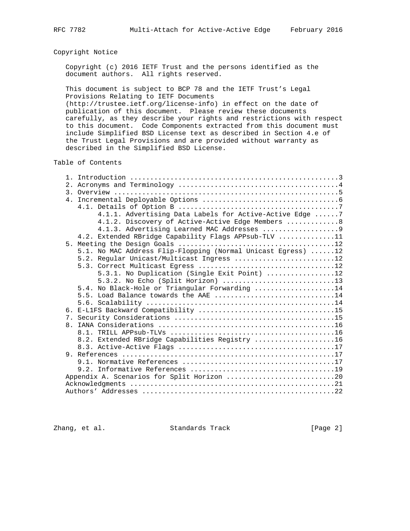# Copyright Notice

 Copyright (c) 2016 IETF Trust and the persons identified as the document authors. All rights reserved.

 This document is subject to BCP 78 and the IETF Trust's Legal Provisions Relating to IETF Documents

 (http://trustee.ietf.org/license-info) in effect on the date of publication of this document. Please review these documents carefully, as they describe your rights and restrictions with respect to this document. Code Components extracted from this document must include Simplified BSD License text as described in Section 4.e of the Trust Legal Provisions and are provided without warranty as described in the Simplified BSD License.

Table of Contents

|                | 4.1.1. Advertising Data Labels for Active-Active Edge 7      |
|----------------|--------------------------------------------------------------|
|                | 4.1.2. Discovery of Active-Active Edge Members  8            |
|                | 4.1.3. Advertising Learned MAC Addresses 9                   |
|                | 4.2. Extended RBridge Capability Flags APPsub-TLV 11         |
| 5 <sub>1</sub> |                                                              |
|                | 5.1. No MAC Address Flip-Flopping (Normal Unicast Egress) 12 |
|                | 5.2. Regular Unicast/Multicast Ingress 12                    |
|                |                                                              |
|                | 5.3.1. No Duplication (Single Exit Point) 12                 |
|                | 5.3.2. No Echo (Split Horizon) 13                            |
|                | 5.4. No Black-Hole or Triangular Forwarding 14               |
|                | 5.5. Load Balance towards the AAE 14                         |
|                |                                                              |
|                |                                                              |
|                |                                                              |
|                |                                                              |
|                |                                                              |
|                | 8.2. Extended RBridge Capabilities Registry 16               |
|                |                                                              |
|                |                                                              |
|                |                                                              |
|                |                                                              |
|                | Appendix A. Scenarios for Split Horizon 20                   |
|                |                                                              |
|                |                                                              |

Zhang, et al. Standards Track [Page 2]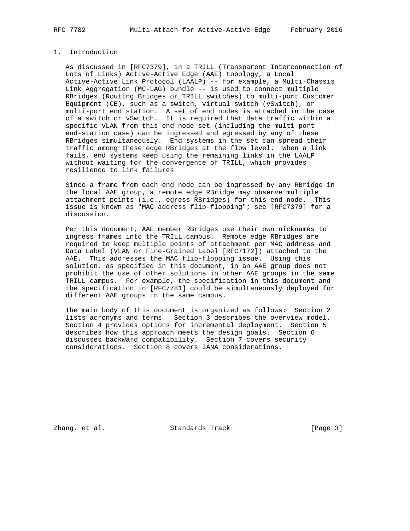# 1. Introduction

 As discussed in [RFC7379], in a TRILL (Transparent Interconnection of Lots of Links) Active-Active Edge (AAE) topology, a Local Active-Active Link Protocol (LAALP) -- for example, a Multi-Chassis Link Aggregation (MC-LAG) bundle -- is used to connect multiple RBridges (Routing Bridges or TRILL switches) to multi-port Customer Equipment (CE), such as a switch, virtual switch (vSwitch), or multi-port end station. A set of end nodes is attached in the case of a switch or vSwitch. It is required that data traffic within a specific VLAN from this end node set (including the multi-port end-station case) can be ingressed and egressed by any of these RBridges simultaneously. End systems in the set can spread their traffic among these edge RBridges at the flow level. When a link fails, end systems keep using the remaining links in the LAALP without waiting for the convergence of TRILL, which provides resilience to link failures.

 Since a frame from each end node can be ingressed by any RBridge in the local AAE group, a remote edge RBridge may observe multiple attachment points (i.e., egress RBridges) for this end node. This issue is known as "MAC address flip-flopping"; see [RFC7379] for a discussion.

 Per this document, AAE member RBridges use their own nicknames to ingress frames into the TRILL campus. Remote edge RBridges are required to keep multiple points of attachment per MAC address and Data Label (VLAN or Fine-Grained Label [RFC7172]) attached to the AAE. This addresses the MAC flip-flopping issue. Using this solution, as specified in this document, in an AAE group does not prohibit the use of other solutions in other AAE groups in the same TRILL campus. For example, the specification in this document and the specification in [RFC7781] could be simultaneously deployed for different AAE groups in the same campus.

 The main body of this document is organized as follows: Section 2 lists acronyms and terms. Section 3 describes the overview model. Section 4 provides options for incremental deployment. Section 5 describes how this approach meets the design goals. Section 6 discusses backward compatibility. Section 7 covers security considerations. Section 8 covers IANA considerations.

Zhang, et al. Standards Track [Page 3]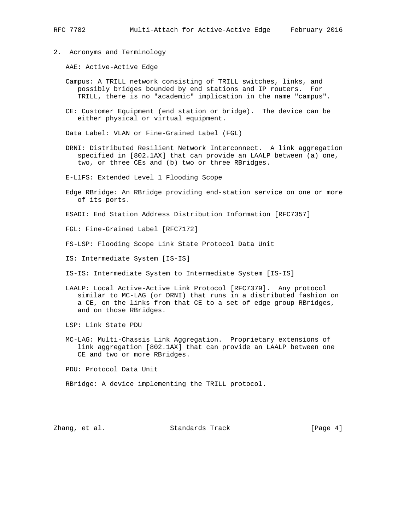- 
- 2. Acronyms and Terminology

AAE: Active-Active Edge

- Campus: A TRILL network consisting of TRILL switches, links, and possibly bridges bounded by end stations and IP routers. For TRILL, there is no "academic" implication in the name "campus".
- CE: Customer Equipment (end station or bridge). The device can be either physical or virtual equipment.

Data Label: VLAN or Fine-Grained Label (FGL)

 DRNI: Distributed Resilient Network Interconnect. A link aggregation specified in [802.1AX] that can provide an LAALP between (a) one, two, or three CEs and (b) two or three RBridges.

E-L1FS: Extended Level 1 Flooding Scope

 Edge RBridge: An RBridge providing end-station service on one or more of its ports.

ESADI: End Station Address Distribution Information [RFC7357]

FGL: Fine-Grained Label [RFC7172]

FS-LSP: Flooding Scope Link State Protocol Data Unit

IS: Intermediate System [IS-IS]

- IS-IS: Intermediate System to Intermediate System [IS-IS]
- LAALP: Local Active-Active Link Protocol [RFC7379]. Any protocol similar to MC-LAG (or DRNI) that runs in a distributed fashion on a CE, on the links from that CE to a set of edge group RBridges, and on those RBridges.

LSP: Link State PDU

 MC-LAG: Multi-Chassis Link Aggregation. Proprietary extensions of link aggregation [802.1AX] that can provide an LAALP between one CE and two or more RBridges.

PDU: Protocol Data Unit

RBridge: A device implementing the TRILL protocol.

Zhang, et al. Standards Track [Page 4]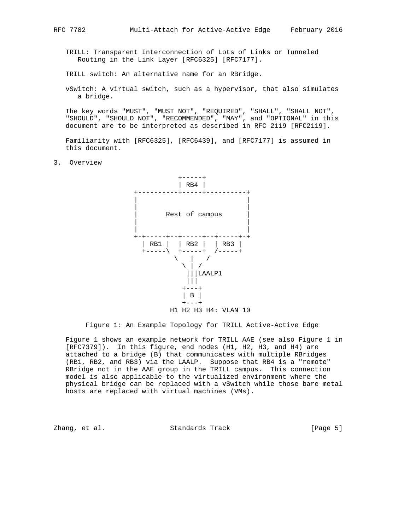TRILL: Transparent Interconnection of Lots of Links or Tunneled Routing in the Link Layer [RFC6325] [RFC7177].

TRILL switch: An alternative name for an RBridge.

 vSwitch: A virtual switch, such as a hypervisor, that also simulates a bridge.

 The key words "MUST", "MUST NOT", "REQUIRED", "SHALL", "SHALL NOT", "SHOULD", "SHOULD NOT", "RECOMMENDED", "MAY", and "OPTIONAL" in this document are to be interpreted as described in RFC 2119 [RFC2119].

 Familiarity with [RFC6325], [RFC6439], and [RFC7177] is assumed in this document.

3. Overview



Figure 1: An Example Topology for TRILL Active-Active Edge

 Figure 1 shows an example network for TRILL AAE (see also Figure 1 in [RFC7379]). In this figure, end nodes (H1, H2, H3, and H4) are attached to a bridge (B) that communicates with multiple RBridges (RB1, RB2, and RB3) via the LAALP. Suppose that RB4 is a "remote" RBridge not in the AAE group in the TRILL campus. This connection model is also applicable to the virtualized environment where the physical bridge can be replaced with a vSwitch while those bare metal hosts are replaced with virtual machines (VMs).

Zhang, et al. Standards Track [Page 5]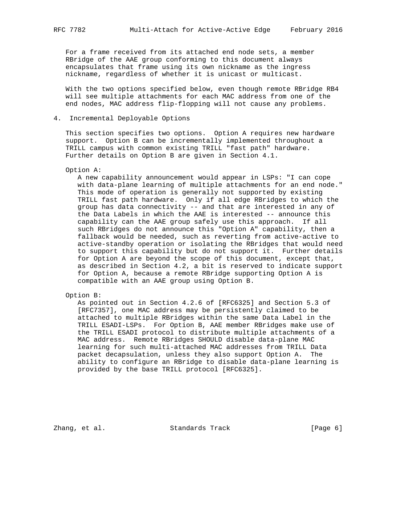For a frame received from its attached end node sets, a member RBridge of the AAE group conforming to this document always encapsulates that frame using its own nickname as the ingress nickname, regardless of whether it is unicast or multicast.

 With the two options specified below, even though remote RBridge RB4 will see multiple attachments for each MAC address from one of the end nodes, MAC address flip-flopping will not cause any problems.

### 4. Incremental Deployable Options

 This section specifies two options. Option A requires new hardware support. Option B can be incrementally implemented throughout a TRILL campus with common existing TRILL "fast path" hardware. Further details on Option B are given in Section 4.1.

#### Option A:

 A new capability announcement would appear in LSPs: "I can cope with data-plane learning of multiple attachments for an end node." This mode of operation is generally not supported by existing TRILL fast path hardware. Only if all edge RBridges to which the group has data connectivity -- and that are interested in any of the Data Labels in which the AAE is interested -- announce this capability can the AAE group safely use this approach. If all such RBridges do not announce this "Option A" capability, then a fallback would be needed, such as reverting from active-active to active-standby operation or isolating the RBridges that would need to support this capability but do not support it. Further details for Option A are beyond the scope of this document, except that, as described in Section 4.2, a bit is reserved to indicate support for Option A, because a remote RBridge supporting Option A is compatible with an AAE group using Option B.

#### Option B:

 As pointed out in Section 4.2.6 of [RFC6325] and Section 5.3 of [RFC7357], one MAC address may be persistently claimed to be attached to multiple RBridges within the same Data Label in the TRILL ESADI-LSPs. For Option B, AAE member RBridges make use of the TRILL ESADI protocol to distribute multiple attachments of a MAC address. Remote RBridges SHOULD disable data-plane MAC learning for such multi-attached MAC addresses from TRILL Data packet decapsulation, unless they also support Option A. The ability to configure an RBridge to disable data-plane learning is provided by the base TRILL protocol [RFC6325].

Zhang, et al. Standards Track [Page 6]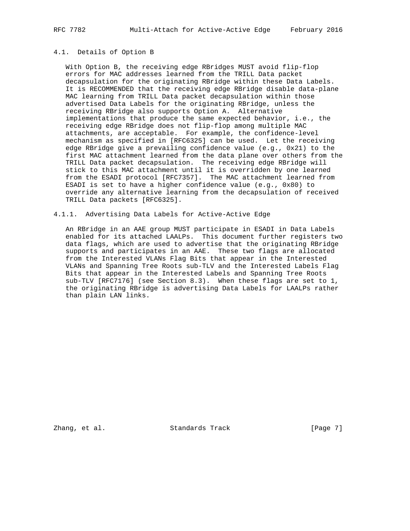# 4.1. Details of Option B

 With Option B, the receiving edge RBridges MUST avoid flip-flop errors for MAC addresses learned from the TRILL Data packet decapsulation for the originating RBridge within these Data Labels. It is RECOMMENDED that the receiving edge RBridge disable data-plane MAC learning from TRILL Data packet decapsulation within those advertised Data Labels for the originating RBridge, unless the receiving RBridge also supports Option A. Alternative implementations that produce the same expected behavior, i.e., the receiving edge RBridge does not flip-flop among multiple MAC attachments, are acceptable. For example, the confidence-level mechanism as specified in [RFC6325] can be used. Let the receiving edge RBridge give a prevailing confidence value (e.g., 0x21) to the first MAC attachment learned from the data plane over others from the TRILL Data packet decapsulation. The receiving edge RBridge will stick to this MAC attachment until it is overridden by one learned from the ESADI protocol [RFC7357]. The MAC attachment learned from ESADI is set to have a higher confidence value (e.g., 0x80) to override any alternative learning from the decapsulation of received TRILL Data packets [RFC6325].

#### 4.1.1. Advertising Data Labels for Active-Active Edge

 An RBridge in an AAE group MUST participate in ESADI in Data Labels enabled for its attached LAALPs. This document further registers two data flags, which are used to advertise that the originating RBridge supports and participates in an AAE. These two flags are allocated from the Interested VLANs Flag Bits that appear in the Interested VLANs and Spanning Tree Roots sub-TLV and the Interested Labels Flag Bits that appear in the Interested Labels and Spanning Tree Roots sub-TLV [RFC7176] (see Section 8.3). When these flags are set to 1, the originating RBridge is advertising Data Labels for LAALPs rather than plain LAN links.

Zhang, et al. Standards Track [Page 7]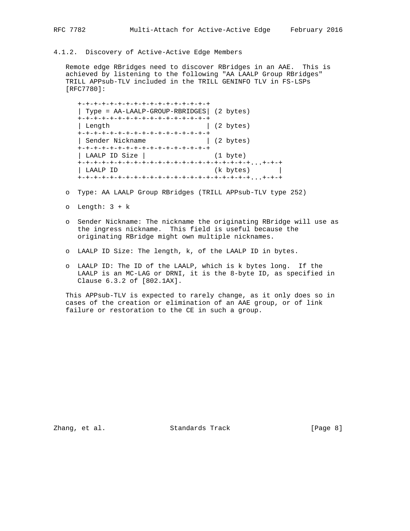# 4.1.2. Discovery of Active-Active Edge Members

 Remote edge RBridges need to discover RBridges in an AAE. This is achieved by listening to the following "AA LAALP Group RBridges" TRILL APPsub-TLV included in the TRILL GENINFO TLV in FS-LSPs [RFC7780]:

 +-+-+-+-+-+-+-+-+-+-+-+-+-+-+-+-+ | Type = AA-LAALP-GROUP-RBRIDGES| (2 bytes) +-+-+-+-+-+-+-+-+-+-+-+-+-+-+-+-+ | Length  $(2 \text{ bytes})$ .<br>+-+-+-+-+-+-+-+-+-+-+-+-+-+-+-+-+-+ | Sender Nickname | (2 bytes) +-+-+-+-+-+-+-+-+-+-+-+-+-+-+-+-+ | LAALP ID Size | (1 byte) +-+-+-+-+-+-+-+-+-+-+-+-+-+-+-+-+-+-+-+-+-+...+-+-+ | LAALP ID (k bytes) | +-+-+-+-+-+-+-+-+-+-+-+-+-+-+-+-+-+-+-+-+-+...+-+-+

- o Type: AA LAALP Group RBridges (TRILL APPsub-TLV type 252)
- o Length: 3 + k
- o Sender Nickname: The nickname the originating RBridge will use as the ingress nickname. This field is useful because the originating RBridge might own multiple nicknames.
- o LAALP ID Size: The length, k, of the LAALP ID in bytes.
- o LAALP ID: The ID of the LAALP, which is k bytes long. If the LAALP is an MC-LAG or DRNI, it is the 8-byte ID, as specified in Clause 6.3.2 of [802.1AX].

 This APPsub-TLV is expected to rarely change, as it only does so in cases of the creation or elimination of an AAE group, or of link failure or restoration to the CE in such a group.

Zhang, et al. Standards Track [Page 8]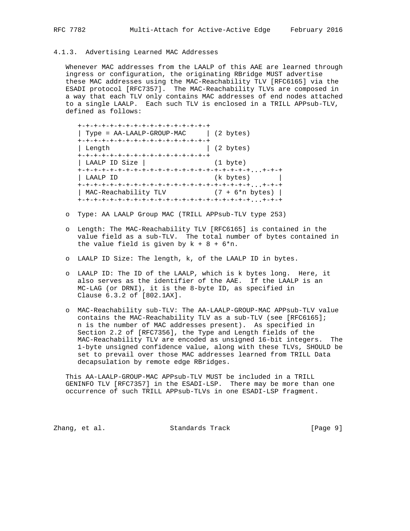## 4.1.3. Advertising Learned MAC Addresses

 Whenever MAC addresses from the LAALP of this AAE are learned through ingress or configuration, the originating RBridge MUST advertise these MAC addresses using the MAC-Reachability TLV [RFC6165] via the ESADI protocol [RFC7357]. The MAC-Reachability TLVs are composed in a way that each TLV only contains MAC addresses of end nodes attached to a single LAALP. Each such TLV is enclosed in a TRILL APPsub-TLV, defined as follows:

| +-+-+-+-+-+-+-+-+-+-+-+-+-+-+-+-+-+   |                   |
|---------------------------------------|-------------------|
| Type = AA-LAALP-GROUP-MAC   (2 bytes) |                   |
| +-+-+-+-+-+-+-+-+-+-+-+-+-+-+-+-+-+   |                   |
| Length                                | (2 bytes)         |
| +-+-+-+-+-+-+-+-+-+-+-+-+-+-+-+-+-+   |                   |
| LAALP ID Size                         | $(1 \text{byte})$ |
|                                       |                   |
| LAALP ID                              | (k bytes)         |
|                                       |                   |
| MAC-Reachability TLV                  | $(7 + 6*n bytes)$ |
|                                       |                   |

- o Type: AA LAALP Group MAC (TRILL APPsub-TLV type 253)
- o Length: The MAC-Reachability TLV [RFC6165] is contained in the value field as a sub-TLV. The total number of bytes contained in the value field is given by  $k + 8 + 6*n$ .
- o LAALP ID Size: The length, k, of the LAALP ID in bytes.
- o LAALP ID: The ID of the LAALP, which is k bytes long. Here, it also serves as the identifier of the AAE. If the LAALP is an MC-LAG (or DRNI), it is the 8-byte ID, as specified in Clause 6.3.2 of [802.1AX].
- o MAC-Reachability sub-TLV: The AA-LAALP-GROUP-MAC APPsub-TLV value contains the MAC-Reachability TLV as a sub-TLV (see [RFC6165]; n is the number of MAC addresses present). As specified in Section 2.2 of [RFC7356], the Type and Length fields of the MAC-Reachability TLV are encoded as unsigned 16-bit integers. The 1-byte unsigned confidence value, along with these TLVs, SHOULD be set to prevail over those MAC addresses learned from TRILL Data decapsulation by remote edge RBridges.

 This AA-LAALP-GROUP-MAC APPsub-TLV MUST be included in a TRILL GENINFO TLV [RFC7357] in the ESADI-LSP. There may be more than one occurrence of such TRILL APPsub-TLVs in one ESADI-LSP fragment.

Zhang, et al. Standards Track [Page 9]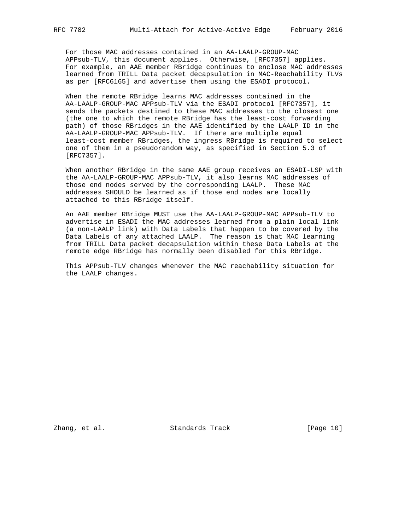For those MAC addresses contained in an AA-LAALP-GROUP-MAC APPsub-TLV, this document applies. Otherwise, [RFC7357] applies. For example, an AAE member RBridge continues to enclose MAC addresses learned from TRILL Data packet decapsulation in MAC-Reachability TLVs

as per [RFC6165] and advertise them using the ESADI protocol.

 When the remote RBridge learns MAC addresses contained in the AA-LAALP-GROUP-MAC APPsub-TLV via the ESADI protocol [RFC7357], it sends the packets destined to these MAC addresses to the closest one (the one to which the remote RBridge has the least-cost forwarding path) of those RBridges in the AAE identified by the LAALP ID in the AA-LAALP-GROUP-MAC APPsub-TLV. If there are multiple equal least-cost member RBridges, the ingress RBridge is required to select one of them in a pseudorandom way, as specified in Section 5.3 of [RFC7357].

 When another RBridge in the same AAE group receives an ESADI-LSP with the AA-LAALP-GROUP-MAC APPsub-TLV, it also learns MAC addresses of those end nodes served by the corresponding LAALP. These MAC addresses SHOULD be learned as if those end nodes are locally attached to this RBridge itself.

 An AAE member RBridge MUST use the AA-LAALP-GROUP-MAC APPsub-TLV to advertise in ESADI the MAC addresses learned from a plain local link (a non-LAALP link) with Data Labels that happen to be covered by the Data Labels of any attached LAALP. The reason is that MAC learning from TRILL Data packet decapsulation within these Data Labels at the remote edge RBridge has normally been disabled for this RBridge.

 This APPsub-TLV changes whenever the MAC reachability situation for the LAALP changes.

Zhang, et al. Standards Track [Page 10]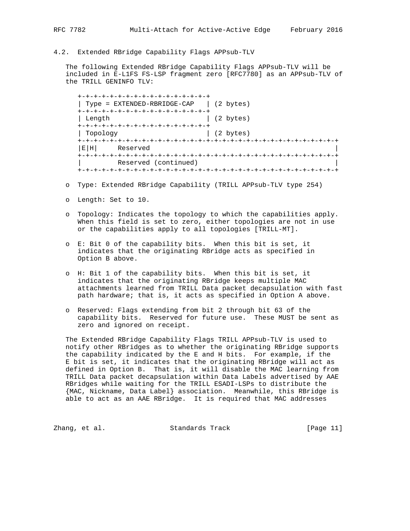# 4.2. Extended RBridge Capability Flags APPsub-TLV

 The following Extended RBridge Capability Flags APPsub-TLV will be included in E-L1FS FS-LSP fragment zero [RFC7780] as an APPsub-TLV of the TRILL GENINFO TLV:

 +-+-+-+-+-+-+-+-+-+-+-+-+-+-+-+-+ | Type = EXTENDED-RBRIDGE-CAP | (2 bytes) +-+-+-+-+-+-+-+-+-+-+-+-+-+-+-+-+ | Length | (2 bytes) +-+-+-+-+-+-+-+-+-+-+-+-+-+-+-+-+ | Topology | (2 bytes) +-+-+-+-+-+-+-+-+-+-+-+-+-+-+-+-+-+-+-+-+-+-+-+-+-+-+-+-+-+-+-+-+ Reserved +-+-+-+-+-+-+-+-+-+-+-+-+-+-+-+-+-+-+-+-+-+-+-+-+-+-+-+-+-+-+-+-+ Reserved (continued) +-+-+-+-+-+-+-+-+-+-+-+-+-+-+-+-+-+-+-+-+-+-+-+-+-+-+-+-+-+-+-+-+

- o Type: Extended RBridge Capability (TRILL APPsub-TLV type 254)
- o Length: Set to 10.
- o Topology: Indicates the topology to which the capabilities apply. When this field is set to zero, either topologies are not in use or the capabilities apply to all topologies [TRILL-MT].
- o E: Bit 0 of the capability bits. When this bit is set, it indicates that the originating RBridge acts as specified in Option B above.
- o H: Bit 1 of the capability bits. When this bit is set, it indicates that the originating RBridge keeps multiple MAC attachments learned from TRILL Data packet decapsulation with fast path hardware; that is, it acts as specified in Option A above.
- o Reserved: Flags extending from bit 2 through bit 63 of the capability bits. Reserved for future use. These MUST be sent as zero and ignored on receipt.

 The Extended RBridge Capability Flags TRILL APPsub-TLV is used to notify other RBridges as to whether the originating RBridge supports the capability indicated by the E and H bits. For example, if the E bit is set, it indicates that the originating RBridge will act as defined in Option B. That is, it will disable the MAC learning from TRILL Data packet decapsulation within Data Labels advertised by AAE RBridges while waiting for the TRILL ESADI-LSPs to distribute the {MAC, Nickname, Data Label} association. Meanwhile, this RBridge is able to act as an AAE RBridge. It is required that MAC addresses

Zhang, et al. Standards Track [Page 11]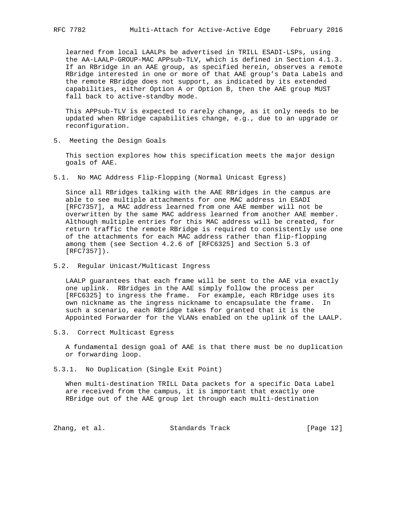learned from local LAALPs be advertised in TRILL ESADI-LSPs, using the AA-LAALP-GROUP-MAC APPsub-TLV, which is defined in Section 4.1.3. If an RBridge in an AAE group, as specified herein, observes a remote RBridge interested in one or more of that AAE group's Data Labels and the remote RBridge does not support, as indicated by its extended capabilities, either Option A or Option B, then the AAE group MUST fall back to active-standby mode.

 This APPsub-TLV is expected to rarely change, as it only needs to be updated when RBridge capabilities change, e.g., due to an upgrade or reconfiguration.

5. Meeting the Design Goals

 This section explores how this specification meets the major design goals of AAE.

5.1. No MAC Address Flip-Flopping (Normal Unicast Egress)

 Since all RBridges talking with the AAE RBridges in the campus are able to see multiple attachments for one MAC address in ESADI [RFC7357], a MAC address learned from one AAE member will not be overwritten by the same MAC address learned from another AAE member. Although multiple entries for this MAC address will be created, for return traffic the remote RBridge is required to consistently use one of the attachments for each MAC address rather than flip-flopping among them (see Section 4.2.6 of [RFC6325] and Section 5.3 of [RFC7357]).

5.2. Regular Unicast/Multicast Ingress

 LAALP guarantees that each frame will be sent to the AAE via exactly one uplink. RBridges in the AAE simply follow the process per [RFC6325] to ingress the frame. For example, each RBridge uses its own nickname as the ingress nickname to encapsulate the frame. In such a scenario, each RBridge takes for granted that it is the Appointed Forwarder for the VLANs enabled on the uplink of the LAALP.

5.3. Correct Multicast Egress

 A fundamental design goal of AAE is that there must be no duplication or forwarding loop.

5.3.1. No Duplication (Single Exit Point)

 When multi-destination TRILL Data packets for a specific Data Label are received from the campus, it is important that exactly one RBridge out of the AAE group let through each multi-destination

Zhang, et al. Standards Track [Page 12]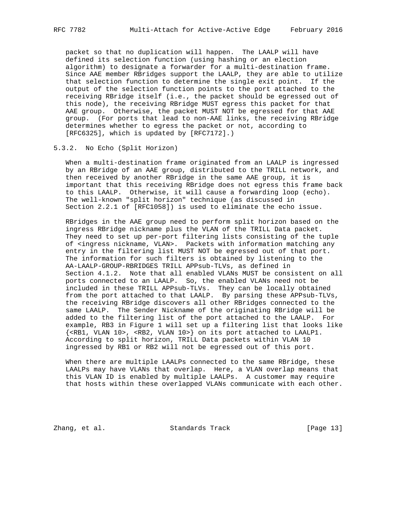packet so that no duplication will happen. The LAALP will have defined its selection function (using hashing or an election algorithm) to designate a forwarder for a multi-destination frame. Since AAE member RBridges support the LAALP, they are able to utilize that selection function to determine the single exit point. If the output of the selection function points to the port attached to the receiving RBridge itself (i.e., the packet should be egressed out of this node), the receiving RBridge MUST egress this packet for that AAE group. Otherwise, the packet MUST NOT be egressed for that AAE group. (For ports that lead to non-AAE links, the receiving RBridge determines whether to egress the packet or not, according to [RFC6325], which is updated by [RFC7172].)

#### 5.3.2. No Echo (Split Horizon)

 When a multi-destination frame originated from an LAALP is ingressed by an RBridge of an AAE group, distributed to the TRILL network, and then received by another RBridge in the same AAE group, it is important that this receiving RBridge does not egress this frame back to this LAALP. Otherwise, it will cause a forwarding loop (echo). The well-known "split horizon" technique (as discussed in Section 2.2.1 of [RFC1058]) is used to eliminate the echo issue.

 RBridges in the AAE group need to perform split horizon based on the ingress RBridge nickname plus the VLAN of the TRILL Data packet. They need to set up per-port filtering lists consisting of the tuple of <ingress nickname, VLAN>. Packets with information matching any entry in the filtering list MUST NOT be egressed out of that port. The information for such filters is obtained by listening to the AA-LAALP-GROUP-RBRIDGES TRILL APPsub-TLVs, as defined in Section 4.1.2. Note that all enabled VLANs MUST be consistent on all ports connected to an LAALP. So, the enabled VLANs need not be included in these TRILL APPsub-TLVs. They can be locally obtained from the port attached to that LAALP. By parsing these APPsub-TLVs, the receiving RBridge discovers all other RBridges connected to the same LAALP. The Sender Nickname of the originating RBridge will be added to the filtering list of the port attached to the LAALP. For example, RB3 in Figure 1 will set up a filtering list that looks like {<RB1, VLAN 10>, <RB2, VLAN 10>} on its port attached to LAALP1. According to split horizon, TRILL Data packets within VLAN 10 ingressed by RB1 or RB2 will not be egressed out of this port.

 When there are multiple LAALPs connected to the same RBridge, these LAALPs may have VLANs that overlap. Here, a VLAN overlap means that this VLAN ID is enabled by multiple LAALPs. A customer may require that hosts within these overlapped VLANs communicate with each other.

Zhang, et al. Standards Track [Page 13]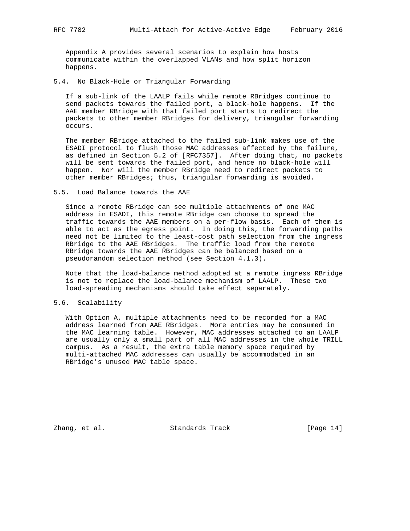Appendix A provides several scenarios to explain how hosts communicate within the overlapped VLANs and how split horizon happens.

5.4. No Black-Hole or Triangular Forwarding

 If a sub-link of the LAALP fails while remote RBridges continue to send packets towards the failed port, a black-hole happens. If the AAE member RBridge with that failed port starts to redirect the packets to other member RBridges for delivery, triangular forwarding occurs.

 The member RBridge attached to the failed sub-link makes use of the ESADI protocol to flush those MAC addresses affected by the failure, as defined in Section 5.2 of [RFC7357]. After doing that, no packets will be sent towards the failed port, and hence no black-hole will happen. Nor will the member RBridge need to redirect packets to other member RBridges; thus, triangular forwarding is avoided.

#### 5.5. Load Balance towards the AAE

 Since a remote RBridge can see multiple attachments of one MAC address in ESADI, this remote RBridge can choose to spread the traffic towards the AAE members on a per-flow basis. Each of them is able to act as the egress point. In doing this, the forwarding paths need not be limited to the least-cost path selection from the ingress RBridge to the AAE RBridges. The traffic load from the remote RBridge towards the AAE RBridges can be balanced based on a pseudorandom selection method (see Section 4.1.3).

 Note that the load-balance method adopted at a remote ingress RBridge is not to replace the load-balance mechanism of LAALP. These two load-spreading mechanisms should take effect separately.

# 5.6. Scalability

 With Option A, multiple attachments need to be recorded for a MAC address learned from AAE RBridges. More entries may be consumed in the MAC learning table. However, MAC addresses attached to an LAALP are usually only a small part of all MAC addresses in the whole TRILL campus. As a result, the extra table memory space required by multi-attached MAC addresses can usually be accommodated in an RBridge's unused MAC table space.

Zhang, et al. Standards Track [Page 14]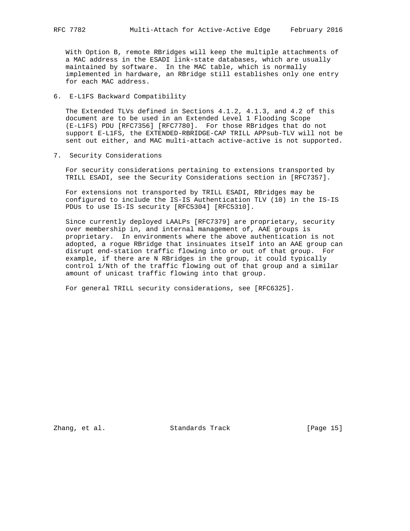With Option B, remote RBridges will keep the multiple attachments of a MAC address in the ESADI link-state databases, which are usually maintained by software. In the MAC table, which is normally implemented in hardware, an RBridge still establishes only one entry for each MAC address.

## 6. E-L1FS Backward Compatibility

 The Extended TLVs defined in Sections 4.1.2, 4.1.3, and 4.2 of this document are to be used in an Extended Level 1 Flooding Scope (E-L1FS) PDU [RFC7356] [RFC7780]. For those RBridges that do not support E-L1FS, the EXTENDED-RBRIDGE-CAP TRILL APPsub-TLV will not be sent out either, and MAC multi-attach active-active is not supported.

7. Security Considerations

 For security considerations pertaining to extensions transported by TRILL ESADI, see the Security Considerations section in [RFC7357].

 For extensions not transported by TRILL ESADI, RBridges may be configured to include the IS-IS Authentication TLV (10) in the IS-IS PDUs to use IS-IS security [RFC5304] [RFC5310].

 Since currently deployed LAALPs [RFC7379] are proprietary, security over membership in, and internal management of, AAE groups is proprietary. In environments where the above authentication is not adopted, a rogue RBridge that insinuates itself into an AAE group can disrupt end-station traffic flowing into or out of that group. For example, if there are N RBridges in the group, it could typically control 1/Nth of the traffic flowing out of that group and a similar amount of unicast traffic flowing into that group.

For general TRILL security considerations, see [RFC6325].

Zhang, et al. Standards Track [Page 15]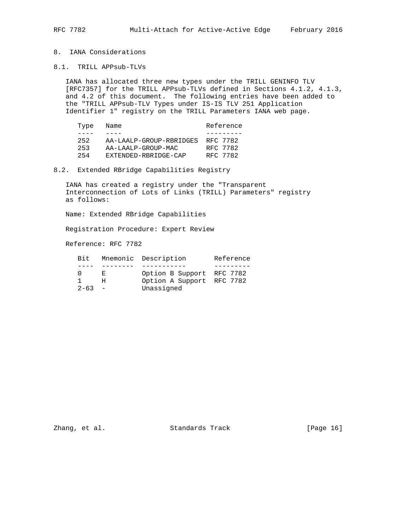# 8. IANA Considerations

8.1. TRILL APPsub-TLVs

 IANA has allocated three new types under the TRILL GENINFO TLV [RFC7357] for the TRILL APPsub-TLVs defined in Sections 4.1.2, 4.1.3, and 4.2 of this document. The following entries have been added to the "TRILL APPsub-TLV Types under IS-IS TLV 251 Application Identifier 1" registry on the TRILL Parameters IANA web page.

| Type | Name                    | Reference |
|------|-------------------------|-----------|
|      |                         |           |
| 252  | AA-LAALP-GROUP-RBRIDGES | RFC 7782  |
| 253  | AA-LAALP-GROUP-MAC      | RFC 7782  |
| 254  | EXTENDED-RBRIDGE-CAP    | RFC 7782  |

# 8.2. Extended RBridge Capabilities Registry

 IANA has created a registry under the "Transparent Interconnection of Lots of Links (TRILL) Parameters" registry as follows:

Name: Extended RBridge Capabilities

Registration Procedure: Expert Review

Reference: RFC 7782

| Bit.       |        | Mnemonic Description      | Reference |  |  |
|------------|--------|---------------------------|-----------|--|--|
|            |        |                           |           |  |  |
|            | - F. I | Option B Support RFC 7782 |           |  |  |
|            |        | Option A Support RFC 7782 |           |  |  |
| $2 - 63 -$ |        | Unassigned                |           |  |  |

Zhang, et al. Standards Track [Page 16]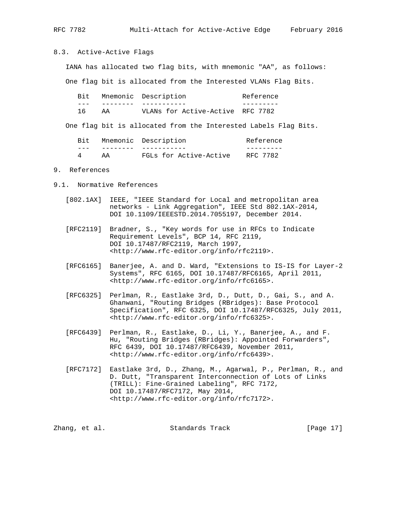RFC 7782 Multi-Attach for Active-Active Edge February 2016

8.3. Active-Active Flags

IANA has allocated two flag bits, with mnemonic "AA", as follows:

One flag bit is allocated from the Interested VLANs Flag Bits.

Bit Mnemonic Description **Reference**  --- -------- ----------- --------- 16 AA VLANs for Active-Active RFC 7782

One flag bit is allocated from the Interested Labels Flag Bits.

| Bit |    | Mnemonic Description   | Reference |  |  |
|-----|----|------------------------|-----------|--|--|
|     |    |                        |           |  |  |
|     | ΆA | FGLs for Active-Active | RFC 7782  |  |  |

#### 9. References

- 9.1. Normative References
	- [802.1AX] IEEE, "IEEE Standard for Local and metropolitan area networks - Link Aggregation", IEEE Std 802.1AX-2014, DOI 10.1109/IEEESTD.2014.7055197, December 2014.
	- [RFC2119] Bradner, S., "Key words for use in RFCs to Indicate Requirement Levels", BCP 14, RFC 2119, DOI 10.17487/RFC2119, March 1997, <http://www.rfc-editor.org/info/rfc2119>.
	- [RFC6165] Banerjee, A. and D. Ward, "Extensions to IS-IS for Layer-2 Systems", RFC 6165, DOI 10.17487/RFC6165, April 2011, <http://www.rfc-editor.org/info/rfc6165>.
	- [RFC6325] Perlman, R., Eastlake 3rd, D., Dutt, D., Gai, S., and A. Ghanwani, "Routing Bridges (RBridges): Base Protocol Specification", RFC 6325, DOI 10.17487/RFC6325, July 2011, <http://www.rfc-editor.org/info/rfc6325>.
	- [RFC6439] Perlman, R., Eastlake, D., Li, Y., Banerjee, A., and F. Hu, "Routing Bridges (RBridges): Appointed Forwarders", RFC 6439, DOI 10.17487/RFC6439, November 2011, <http://www.rfc-editor.org/info/rfc6439>.
	- [RFC7172] Eastlake 3rd, D., Zhang, M., Agarwal, P., Perlman, R., and D. Dutt, "Transparent Interconnection of Lots of Links (TRILL): Fine-Grained Labeling", RFC 7172, DOI 10.17487/RFC7172, May 2014, <http://www.rfc-editor.org/info/rfc7172>.

| [Page 17]<br>Zhang, et al.<br>Standards Track |  |  |  |  |
|-----------------------------------------------|--|--|--|--|
|-----------------------------------------------|--|--|--|--|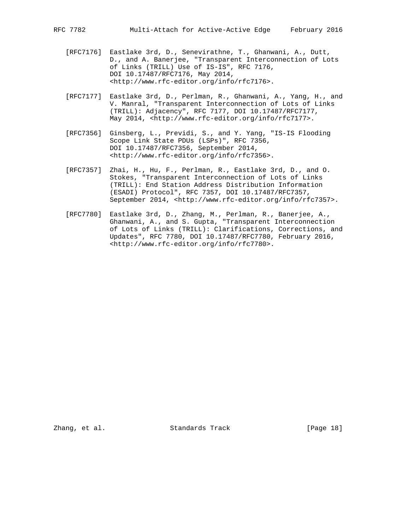- [RFC7176] Eastlake 3rd, D., Senevirathne, T., Ghanwani, A., Dutt, D., and A. Banerjee, "Transparent Interconnection of Lots of Links (TRILL) Use of IS-IS", RFC 7176, DOI 10.17487/RFC7176, May 2014, <http://www.rfc-editor.org/info/rfc7176>.
- [RFC7177] Eastlake 3rd, D., Perlman, R., Ghanwani, A., Yang, H., and V. Manral, "Transparent Interconnection of Lots of Links (TRILL): Adjacency", RFC 7177, DOI 10.17487/RFC7177, May 2014, <http://www.rfc-editor.org/info/rfc7177>.
- [RFC7356] Ginsberg, L., Previdi, S., and Y. Yang, "IS-IS Flooding Scope Link State PDUs (LSPs)", RFC 7356, DOI 10.17487/RFC7356, September 2014, <http://www.rfc-editor.org/info/rfc7356>.
- [RFC7357] Zhai, H., Hu, F., Perlman, R., Eastlake 3rd, D., and O. Stokes, "Transparent Interconnection of Lots of Links (TRILL): End Station Address Distribution Information (ESADI) Protocol", RFC 7357, DOI 10.17487/RFC7357, September 2014, <http://www.rfc-editor.org/info/rfc7357>.
- [RFC7780] Eastlake 3rd, D., Zhang, M., Perlman, R., Banerjee, A., Ghanwani, A., and S. Gupta, "Transparent Interconnection of Lots of Links (TRILL): Clarifications, Corrections, and Updates", RFC 7780, DOI 10.17487/RFC7780, February 2016, <http://www.rfc-editor.org/info/rfc7780>.

Zhang, et al. Standards Track [Page 18]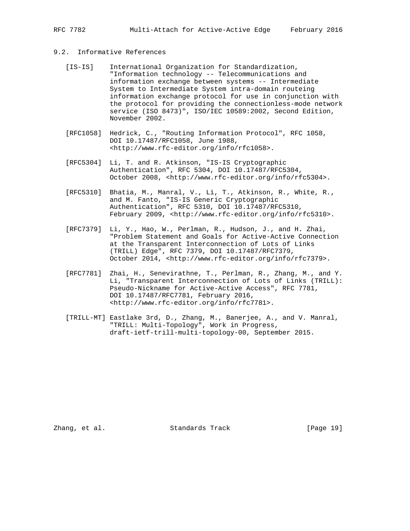# 9.2. Informative References

- [IS-IS] International Organization for Standardization, "Information technology -- Telecommunications and information exchange between systems -- Intermediate System to Intermediate System intra-domain routeing information exchange protocol for use in conjunction with the protocol for providing the connectionless-mode network service (ISO 8473)", ISO/IEC 10589:2002, Second Edition, November 2002.
- [RFC1058] Hedrick, C., "Routing Information Protocol", RFC 1058, DOI 10.17487/RFC1058, June 1988, <http://www.rfc-editor.org/info/rfc1058>.
- [RFC5304] Li, T. and R. Atkinson, "IS-IS Cryptographic Authentication", RFC 5304, DOI 10.17487/RFC5304, October 2008, <http://www.rfc-editor.org/info/rfc5304>.
- [RFC5310] Bhatia, M., Manral, V., Li, T., Atkinson, R., White, R., and M. Fanto, "IS-IS Generic Cryptographic Authentication", RFC 5310, DOI 10.17487/RFC5310, February 2009, <http://www.rfc-editor.org/info/rfc5310>.
- [RFC7379] Li, Y., Hao, W., Perlman, R., Hudson, J., and H. Zhai, "Problem Statement and Goals for Active-Active Connection at the Transparent Interconnection of Lots of Links (TRILL) Edge", RFC 7379, DOI 10.17487/RFC7379, October 2014, <http://www.rfc-editor.org/info/rfc7379>.
- [RFC7781] Zhai, H., Senevirathne, T., Perlman, R., Zhang, M., and Y. Li, "Transparent Interconnection of Lots of Links (TRILL): Pseudo-Nickname for Active-Active Access", RFC 7781, DOI 10.17487/RFC7781, February 2016, <http://www.rfc-editor.org/info/rfc7781>.
- [TRILL-MT] Eastlake 3rd, D., Zhang, M., Banerjee, A., and V. Manral, "TRILL: Multi-Topology", Work in Progress, draft-ietf-trill-multi-topology-00, September 2015.

Zhang, et al. Standards Track [Page 19]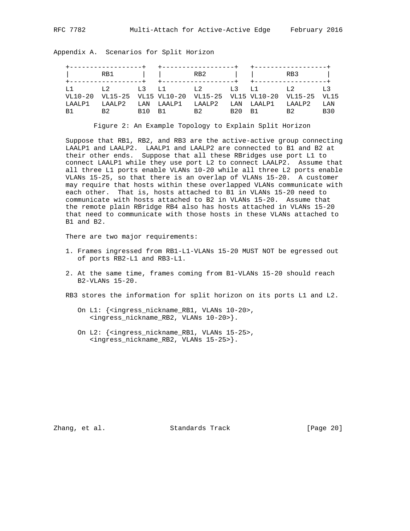|                |  | RB1   RB2   RB3                                                |  |  |
|----------------|--|----------------------------------------------------------------|--|--|
|                |  | L1 L2 L3 L1 L2 L3 L1 L2 L3                                     |  |  |
|                |  | VL10-20 VL15-25 VL15 VL10-20 VL15-25 VL15 VL10-20 VL15-25 VL15 |  |  |
|                |  | LAALP1 LAALP2 LAN LAALP1 LAALP2 LAN LAALP1 LAALP2 LAN          |  |  |
| R <sub>1</sub> |  | B2 B10 B1 B2 B20 B1 B2 B30                                     |  |  |

Appendix A. Scenarios for Split Horizon

Figure 2: An Example Topology to Explain Split Horizon

 Suppose that RB1, RB2, and RB3 are the active-active group connecting LAALP1 and LAALP2. LAALP1 and LAALP2 are connected to B1 and B2 at their other ends. Suppose that all these RBridges use port L1 to connect LAALP1 while they use port L2 to connect LAALP2. Assume that all three L1 ports enable VLANs 10-20 while all three L2 ports enable VLANs 15-25, so that there is an overlap of VLANs 15-20. A customer may require that hosts within these overlapped VLANs communicate with each other. That is, hosts attached to B1 in VLANs 15-20 need to communicate with hosts attached to B2 in VLANs 15-20. Assume that the remote plain RBridge RB4 also has hosts attached in VLANs 15-20 that need to communicate with those hosts in these VLANs attached to B1 and B2.

There are two major requirements:

- 1. Frames ingressed from RB1-L1-VLANs 15-20 MUST NOT be egressed out of ports RB2-L1 and RB3-L1.
- 2. At the same time, frames coming from B1-VLANs 15-20 should reach B2-VLANs 15-20.
- RB3 stores the information for split horizon on its ports L1 and L2.
	- On L1: {<ingress\_nickname\_RB1, VLANs 10-20>, <ingress\_nickname\_RB2, VLANs 10-20>}.
	- On L2: {<ingress\_nickname\_RB1, VLANs 15-25>, <ingress\_nickname\_RB2, VLANs 15-25>}.

Zhang, et al. Standards Track [Page 20]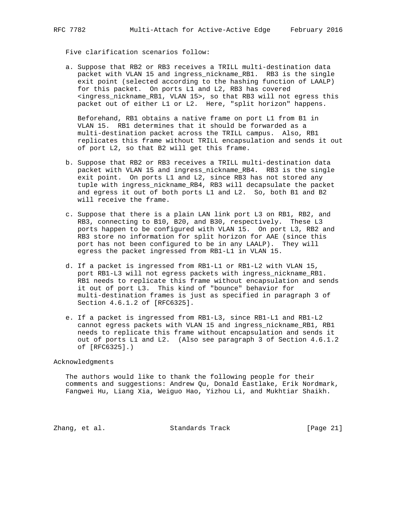Five clarification scenarios follow:

 a. Suppose that RB2 or RB3 receives a TRILL multi-destination data packet with VLAN 15 and ingress\_nickname\_RB1. RB3 is the single exit point (selected according to the hashing function of LAALP) for this packet. On ports L1 and L2, RB3 has covered <ingress\_nickname\_RB1, VLAN 15>, so that RB3 will not egress this packet out of either L1 or L2. Here, "split horizon" happens.

 Beforehand, RB1 obtains a native frame on port L1 from B1 in VLAN 15. RB1 determines that it should be forwarded as a multi-destination packet across the TRILL campus. Also, RB1 replicates this frame without TRILL encapsulation and sends it out of port L2, so that B2 will get this frame.

- b. Suppose that RB2 or RB3 receives a TRILL multi-destination data packet with VLAN 15 and ingress\_nickname\_RB4. RB3 is the single exit point. On ports L1 and L2, since RB3 has not stored any tuple with ingress\_nickname\_RB4, RB3 will decapsulate the packet and egress it out of both ports L1 and L2. So, both B1 and B2 will receive the frame.
- c. Suppose that there is a plain LAN link port L3 on RB1, RB2, and RB3, connecting to B10, B20, and B30, respectively. These L3 ports happen to be configured with VLAN 15. On port L3, RB2 and RB3 store no information for split horizon for AAE (since this port has not been configured to be in any LAALP). They will egress the packet ingressed from RB1-L1 in VLAN 15.
- d. If a packet is ingressed from RB1-L1 or RB1-L2 with VLAN 15, port RB1-L3 will not egress packets with ingress\_nickname\_RB1. RB1 needs to replicate this frame without encapsulation and sends it out of port L3. This kind of "bounce" behavior for multi-destination frames is just as specified in paragraph 3 of Section 4.6.1.2 of [RFC6325].
- e. If a packet is ingressed from RB1-L3, since RB1-L1 and RB1-L2 cannot egress packets with VLAN 15 and ingress\_nickname\_RB1, RB1 needs to replicate this frame without encapsulation and sends it out of ports L1 and L2. (Also see paragraph 3 of Section 4.6.1.2 of [RFC6325].)

#### Acknowledgments

 The authors would like to thank the following people for their comments and suggestions: Andrew Qu, Donald Eastlake, Erik Nordmark, Fangwei Hu, Liang Xia, Weiguo Hao, Yizhou Li, and Mukhtiar Shaikh.

Zhang, et al. Standards Track [Page 21]